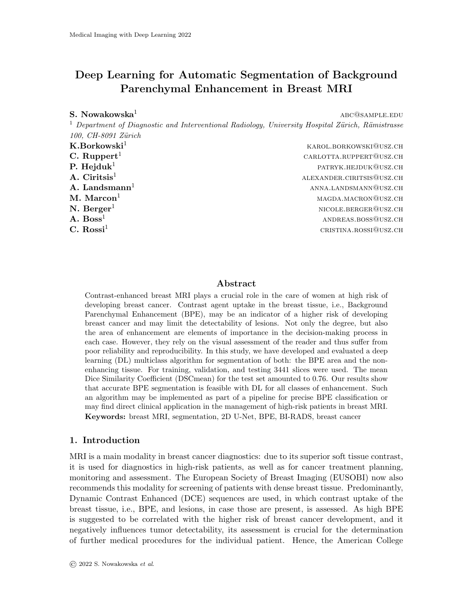# Deep Learning for Automatic Segmentation of Background Parenchymal Enhancement in Breast MRI

## $S. Now **akowski**$ <sup>1</sup> abc $@$ sample.edu

<sup>1</sup> Department of Diagnostic and Interventional Radiology, University Hospital Zürich, Rämistrasse 100, CH-8091 Zürich

 $\mathbf{K}.\mathbf{B}$ orkowski $^1$  karol.borkowski@usz.ch **C. Ruppert**<sup>1</sup> carlotta.ruppert<sup>1</sup> carlotta.ruppert@usz.ch **P. Hejduk<sup>1</sup>** patryk.hejduka patryk.hejduk@usz.ch **A. Ciritsis<sup>1</sup>** alexander.ciritsis@usz.ch  $A.$  Landsmann<sup>1</sup> anna.landsmann<sup>1</sup> anna.landsmann@usz.ch  $\mathbf{M.~Macon^1} \hspace{2cm}$  magda.macron@usz.ch  $N.$   $\text{Berger}^1$  nicole.berger@usz.ch **A.**  $\text{Boss}^1$  and  $\text{Boss}^2$  and  $\text{A,bos}^3$  and  $\text{Boss}^4$  and  $\text{A,bos}^2$  and  $\text{A,bos}^3$  and  $\text{A,bos}^3$  and  $\text{A,bos}^3$  and  $\text{A,bos}^3$  and  $\text{A,bos}^3$  and  $\text{A,bos}^3$  and  $\text{A,bos}^3$  and  $\text{A,bos}^3$  and  $\text{A,bos}^3$  $\bf C. ~ Rossi^1$  cristina.rossi@usz.ch

## Abstract

Contrast-enhanced breast MRI plays a crucial role in the care of women at high risk of developing breast cancer. Contrast agent uptake in the breast tissue, i.e., Background Parenchymal Enhancement (BPE), may be an indicator of a higher risk of developing breast cancer and may limit the detectability of lesions. Not only the degree, but also the area of enhancement are elements of importance in the decision-making process in each case. However, they rely on the visual assessment of the reader and thus suffer from poor reliability and reproducibility. In this study, we have developed and evaluated a deep learning (DL) multiclass algorithm for segmentation of both: the BPE area and the nonenhancing tissue. For training, validation, and testing 3441 slices were used. The mean Dice Similarity Coefficient (DSCmean) for the test set amounted to 0.76. Our results show that accurate BPE segmentation is feasible with DL for all classes of enhancement. Such an algorithm may be implemented as part of a pipeline for precise BPE classification or may find direct clinical application in the management of high-risk patients in breast MRI. Keywords: breast MRI, segmentation, 2D U-Net, BPE, BI-RADS, breast cancer

## 1. Introduction

MRI is a main modality in breast cancer diagnostics: due to its superior soft tissue contrast, it is used for diagnostics in high-risk patients, as well as for cancer treatment planning, monitoring and assessment. The European Society of Breast Imaging (EUSOBI) now also recommends this modality for screening of patients with dense breast tissue. Predominantly, Dynamic Contrast Enhanced (DCE) sequences are used, in which contrast uptake of the breast tissue, i.e., BPE, and lesions, in case those are present, is assessed. As high BPE is suggested to be correlated with the higher risk of breast cancer development, and it negatively influences tumor detectability, its assessment is crucial for the determination of further medical procedures for the individual patient. Hence, the American College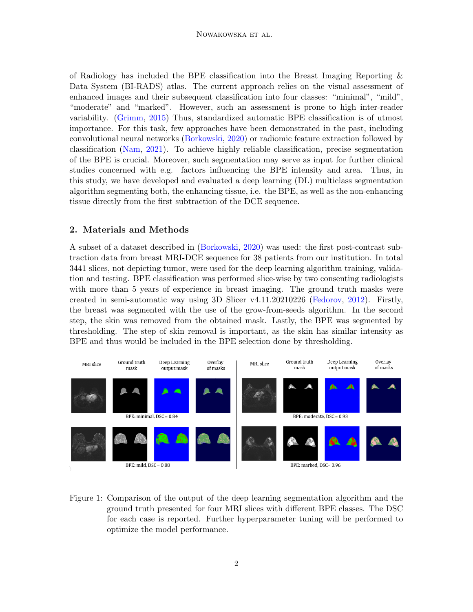of Radiology has included the BPE classification into the Breast Imaging Reporting & Data System (BI-RADS) atlas. The current approach relies on the visual assessment of enhanced images and their subsequent classification into four classes: "minimal", "mild", "moderate" and "marked". However, such an assessment is prone to high inter-reader variability. [\(Grimm,](#page-2-0) [2015\)](#page-2-0) Thus, standardized automatic BPE classification is of utmost importance. For this task, few approaches have been demonstrated in the past, including convolutional neural networks [\(Borkowski,](#page-2-1) [2020\)](#page-2-1) or radiomic feature extraction followed by classification [\(Nam,](#page-2-2) [2021\)](#page-2-2). To achieve highly reliable classification, precise segmentation of the BPE is crucial. Moreover, such segmentation may serve as input for further clinical studies concerned with e.g. factors influencing the BPE intensity and area. Thus, in this study, we have developed and evaluated a deep learning (DL) multiclass segmentation algorithm segmenting both, the enhancing tissue, i.e. the BPE, as well as the non-enhancing tissue directly from the first subtraction of the DCE sequence.

## 2. Materials and Methods

A subset of a dataset described in [\(Borkowski,](#page-2-1) [2020\)](#page-2-1) was used: the first post-contrast subtraction data from breast MRI-DCE sequence for 38 patients from our institution. In total 3441 slices, not depicting tumor, were used for the deep learning algorithm training, validation and testing. BPE classification was performed slice-wise by two consenting radiologists with more than 5 years of experience in breast imaging. The ground truth masks were created in semi-automatic way using 3D Slicer v4.11.20210226 [\(Fedorov,](#page-2-3) [2012\)](#page-2-3). Firstly, the breast was segmented with the use of the grow-from-seeds algorithm. In the second step, the skin was removed from the obtained mask. Lastly, the BPE was segmented by thresholding. The step of skin removal is important, as the skin has similar intensity as BPE and thus would be included in the BPE selection done by thresholding.

<span id="page-1-0"></span>

Figure 1: Comparison of the output of the deep learning segmentation algorithm and the ground truth presented for four MRI slices with different BPE classes. The DSC for each case is reported. Further hyperparameter tuning will be performed to optimize the model performance.